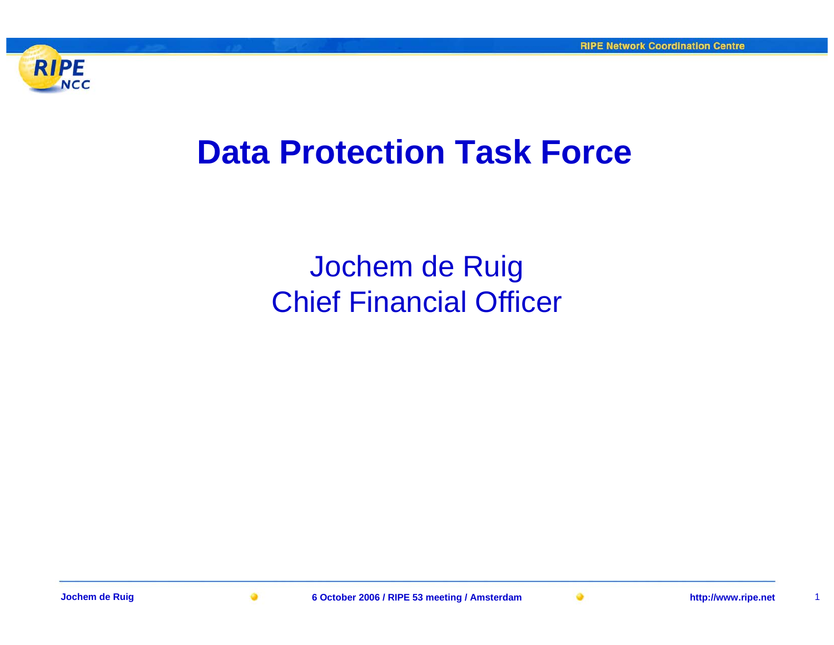

## **Data Protection Task Force**

### Jochem de Ruig Chief Financial Officer

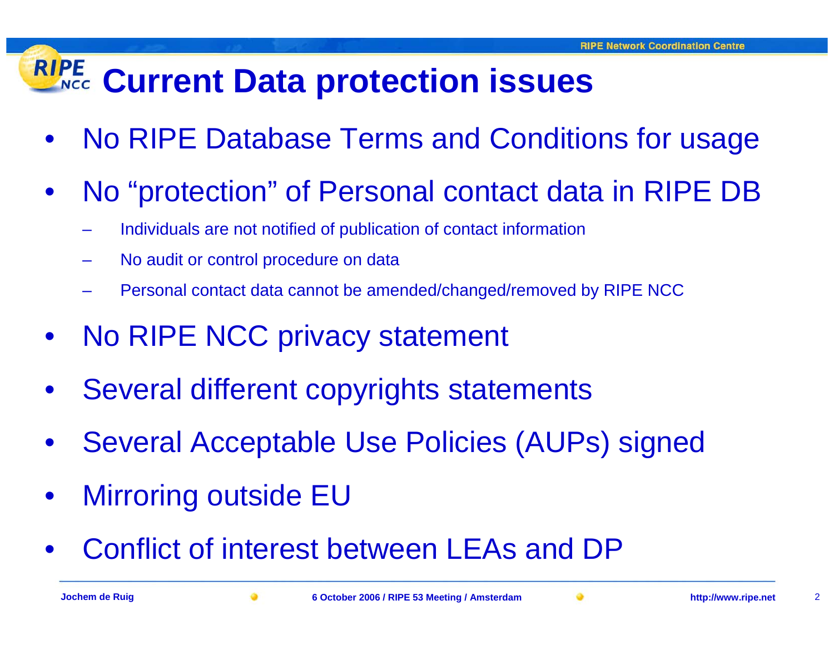# **RIPE Current Data protection issues**

- $\bullet$ No RIPE Database Terms and Conditions for usage
- $\bullet$  No "protection" of Personal contact data in RIPE DB
	- Individuals are not notified of publication of contact information
	- No audit or control procedure on data
	- Personal contact data cannot be amended/changed/removed by RIPE NCC
- $\bullet$ No RIPE NCC privacy statement
- •Several different copyrights statements
- $\bullet$ Several Acceptable Use Policies (AUPs) signed
- •Mirroring outside EU
- •Conflict of interest between LEAs and DP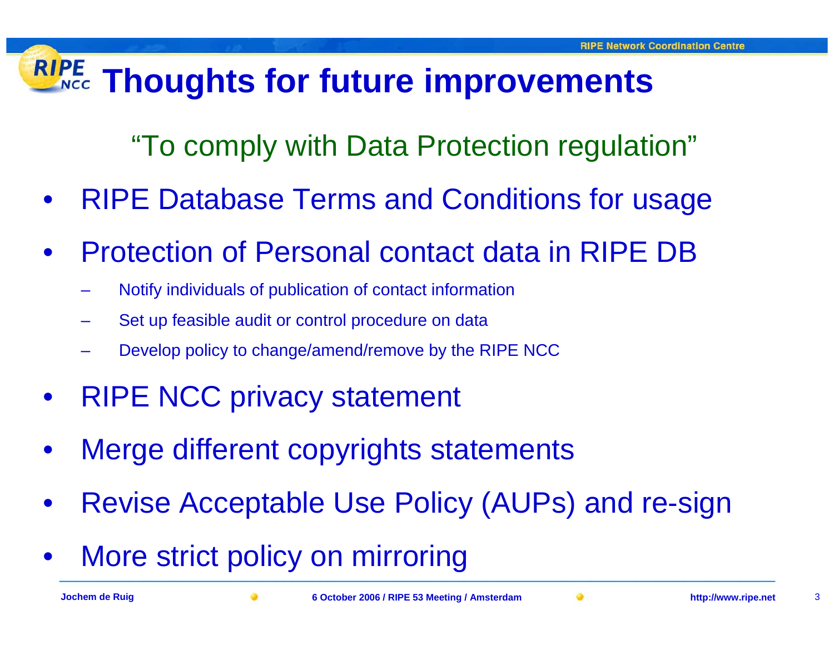# **RIPE Thoughts for future improvements**

"To comply with Data Protection regulation"

- $\bullet$ RIPE Database Terms and Conditions for usage
- $\bullet$  Protection of Personal contact data in RIPE DB
	- Notify individuals of publication of contact information
	- Set up feasible audit or control procedure on data
	- Develop policy to change/amend/remove by the RIPE NCC
- $\bullet$ RIPE NCC privacy statement
- $\bullet$ Merge different copyrights statements
- •Revise Acceptable Use Policy (AUPs) and re-sign
- $\bullet$ More strict policy on mirroring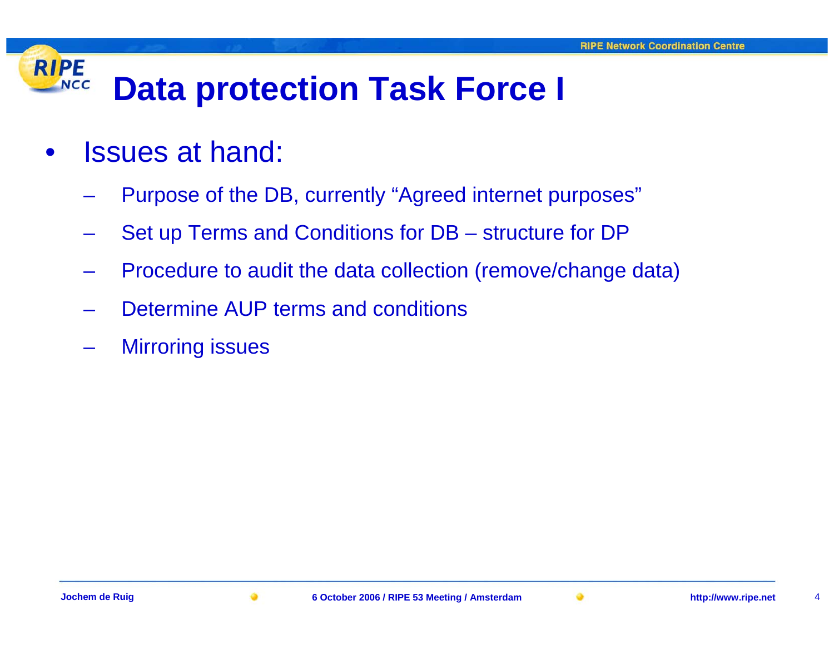#### **RIPE Data protection Task Force I NCC**

- • Issues at hand:
	- –Purpose of the DB, currently "Agreed internet purposes"
	- Set up Terms and Conditions for DB structure for DP
	- Procedure to audit the data collection (remove/change data)
	- Determine AUP terms and conditions
	- Mirroring issues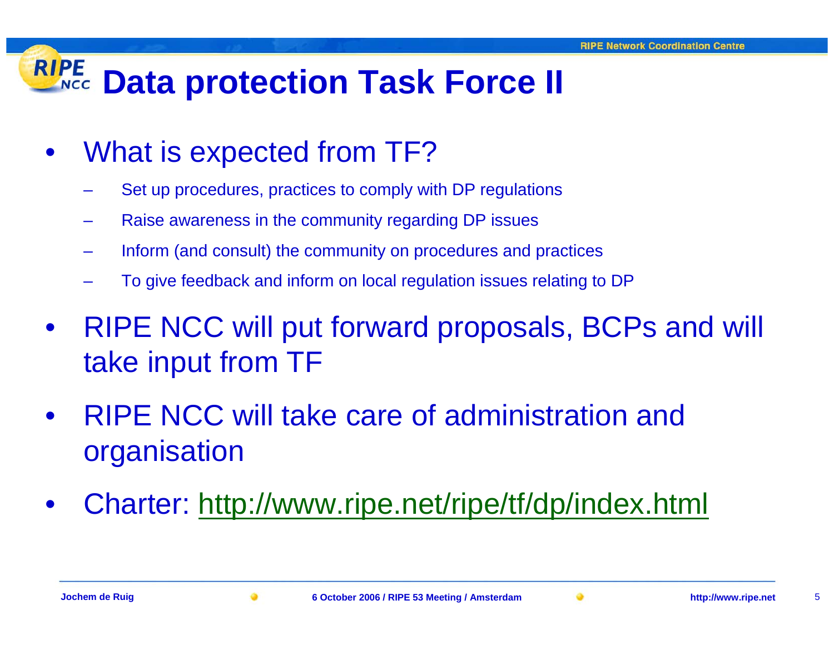#### **RIPE Data protection Task Force II NCC**

- $\bullet$  What is expected from TF?
	- Set up procedures, practices to comply with DP regulations
	- Raise awareness in the community regarding DP issues
	- Inform (and consult) the community on procedures and practices
	- To give feedback and inform on local regulation issues relating to DP
- $\bullet$  RIPE NCC will put forward proposals, BCPs and will take input from TF
- $\bullet$  RIPE NCC will take care of administration and organisation
- •Charter:<http://www.ripe.net/ripe/tf/dp/index.html>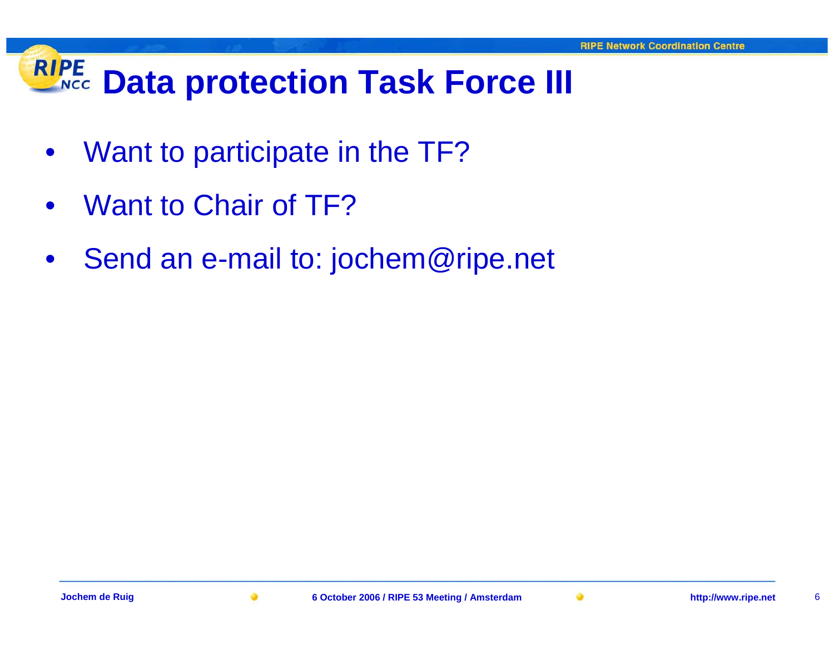# **RIPE Data protection Task Force III**

- $\bullet$ Want to participate in the TF?
- $\bullet$ Want to Chair of TF?
- $\bullet$ Send an e-mail to: jochem@ripe.net